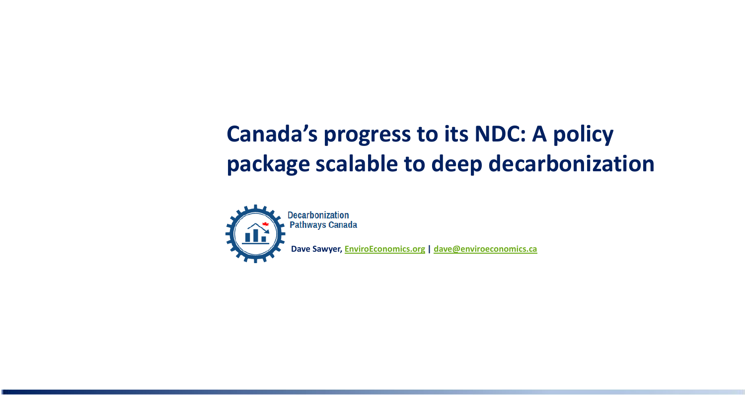# **Canada's progress to its NDC: A policy package scalable to deep decarbonization**



**Dave Sawyer, [EnviroEconomics.org](http://www.enviroeconomics.org/) | [dave@enviroeconomics.ca](mailto:dave@enviroeconomics.ca)**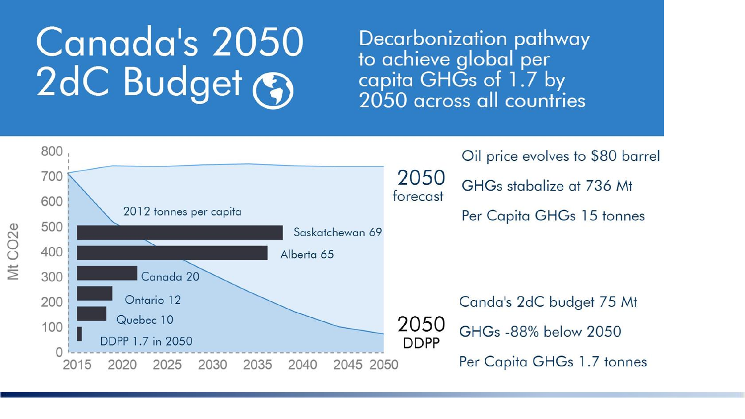# Canada's 2050 2dC Budget (?)

Decarbonization pathway to achieve global per capita GHGs of 1.7 by 2050 across all countries

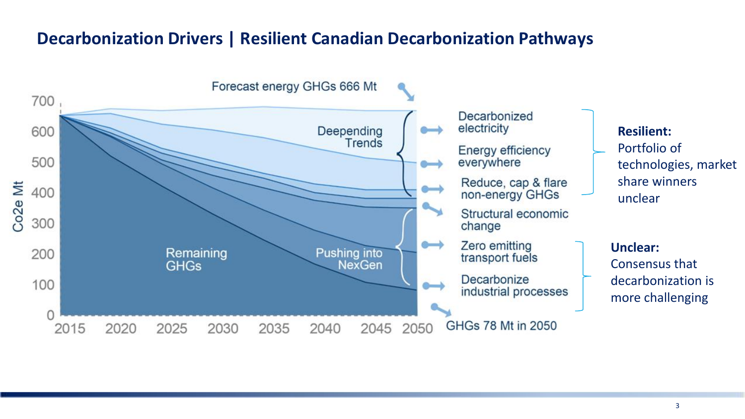#### **Decarbonization Drivers | Resilient Canadian Decarbonization Pathways**

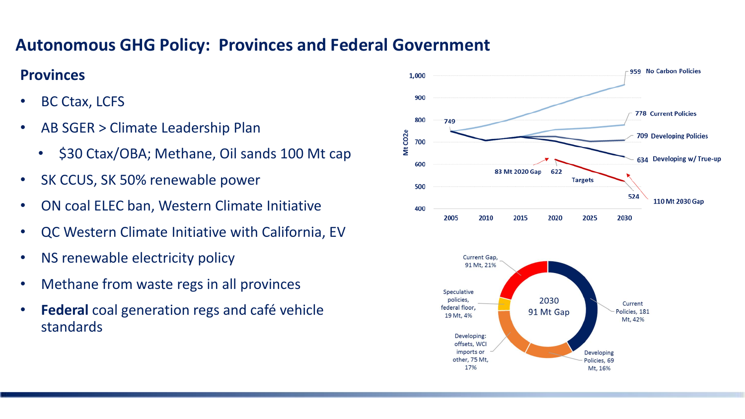## **Autonomous GHG Policy: Provinces and Federal Government**

#### **Provinces**

- BC Ctax, LCFS
- AB SGER > Climate Leadership Plan
	- \$30 Ctax/OBA; Methane, Oil sands 100 Mt cap
- SK CCUS, SK 50% renewable power
- ON coal ELEC ban, Western Climate Initiative
- QC Western Climate Initiative with California, EV
- NS renewable electricity policy
- Methane from waste regs in all provinces
- **Federal** coal generation regs and café vehicle standards

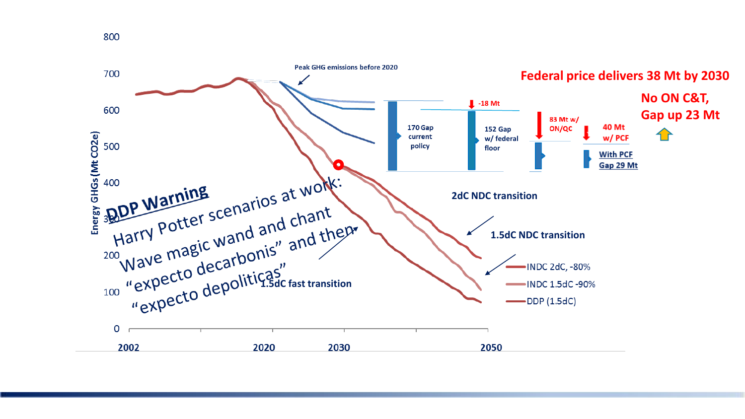

800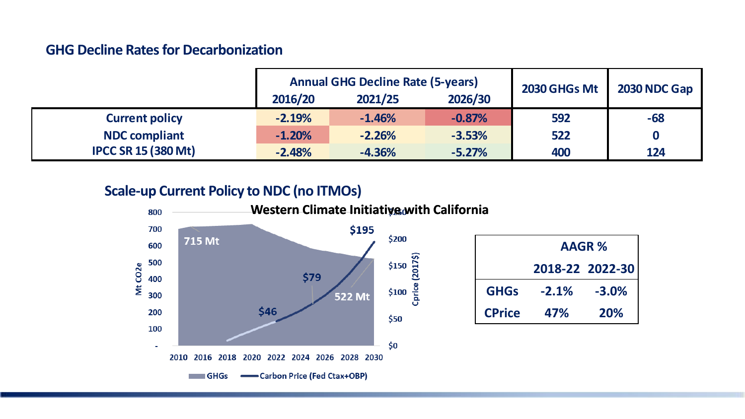#### **GHG Decline Rates for Decarbonization**

|                            | <b>Annual GHG Decline Rate (5-years)</b> |          |          | 2030 GHGs Mt | 2030 NDC Gap |
|----------------------------|------------------------------------------|----------|----------|--------------|--------------|
|                            | 2016/20                                  | 2021/25  | 2026/30  |              |              |
| <b>Current policy</b>      | $-2.19%$                                 | $-1.46%$ | $-0.87%$ | 592          | $-68$        |
| <b>NDC compliant</b>       | $-1.20%$                                 | $-2.26%$ | $-3.53%$ | 522          | 0            |
| <b>IPCC SR 15 (380 Mt)</b> | $-2.48%$                                 | $-4.36%$ | $-5.27%$ | 400          | 124          |

#### **Scale-up Current Policy to NDC (no ITMOs)**



|               | <b>AAGR%</b> |                 |  |  |
|---------------|--------------|-----------------|--|--|
|               |              | 2018-22 2022-30 |  |  |
| <b>GHGs</b>   | $-2.1%$      | $-3.0%$         |  |  |
| <b>CPrice</b> | 47%          | 20%             |  |  |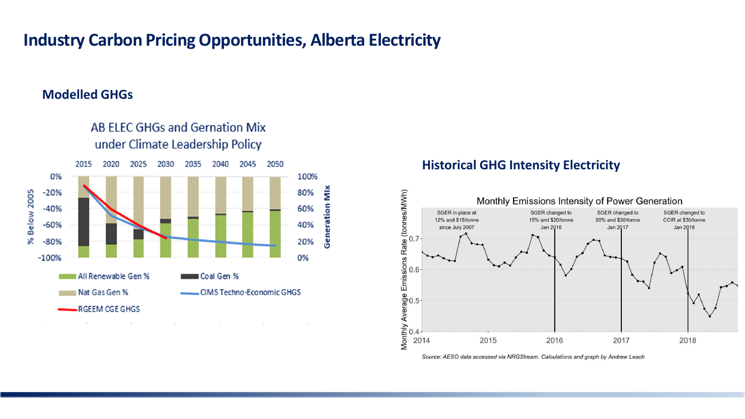#### **Industry Carbon Pricing Opportunities, Alberta Electricity**

#### **Modelled GHGs**



AB ELEC GHGs and Gernation Mix

#### **Historical GHG Intensity Electricity**



Source: AESO data accessed via NRGStream. Calculations and graph by Andrew Leach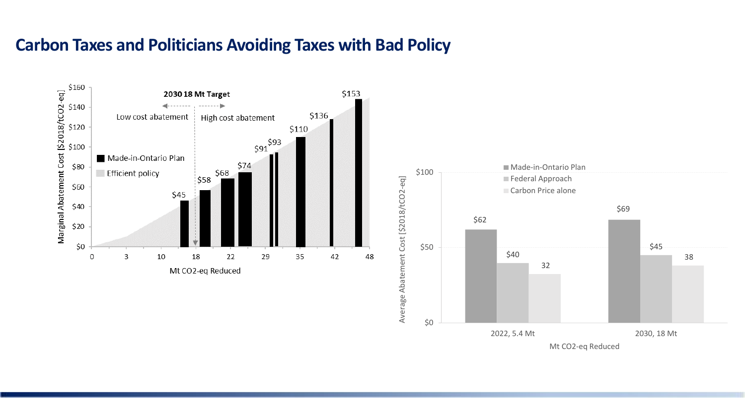#### **Carbon Taxes and Politicians Avoiding Taxes with Bad Policy**



Mt CO2-eq Reduced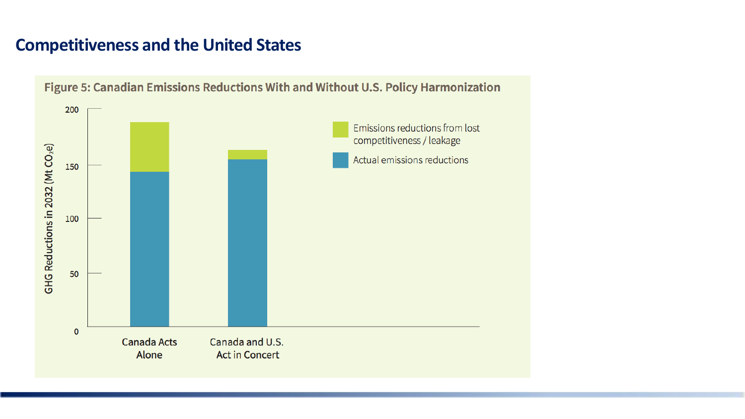### **Competitiveness and the United States**